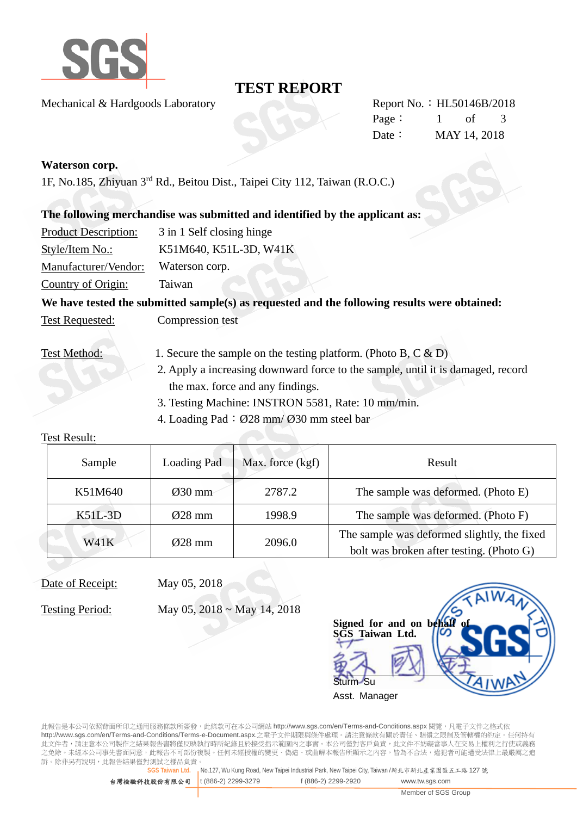

## **TEST REPORT**

Mechanical & Hardgoods Laboratory Report No.: HL50146B/2018

Page: 1 of 3 Date: MAY 14, 2018

#### **Waterson corp.**

1F, No.185, Zhiyuan 3rd Rd., Beitou Dist., Taipei City 112, Taiwan (R.O.C.)

### **The following merchandise was submitted and identified by the applicant as:**

| <b>Product Description:</b> | 3 in 1 Self closing hinge |
|-----------------------------|---------------------------|
| Style/Item No.:             | K51M640, K51L-3D, W41K    |
| Manufacturer/Vendor:        | Waterson corp.            |
| Country of Origin:          | Taiwan                    |

## We have tested the submitted sample(s) as requested and the following results were obtained:

Test Requested: Compression test

- Test Method: 1. Secure the sample on the testing platform. (Photo B, C & D)
	- 2. Apply a increasing downward force to the sample, until it is damaged, record the max. force and any findings.
	- 3. Testing Machine: INSTRON 5581, Rate: 10 mm/min.
	- 4. Loading Pad:  $\varnothing$ 28 mm/  $\varnothing$ 30 mm steel bar

#### Test Result:

| Sample      | Loading Pad         | Max. force (kgf) | Result                                                                                  |
|-------------|---------------------|------------------|-----------------------------------------------------------------------------------------|
| K51M640     | $\varnothing$ 30 mm | 2787.2           | The sample was deformed. (Photo E)                                                      |
| $K51L-3D$   | $\varnothing$ 28 mm | 1998.9           | The sample was deformed. (Photo F)                                                      |
| <b>W41K</b> | $\varnothing$ 28 mm | 2096.0           | The sample was deformed slightly, the fixed<br>bolt was broken after testing. (Photo G) |

## Date of Receipt: May 05, 2018

Testing Period: May 05, 2018 ~ May 14, 2018

Signed for and on behal **SGS Taiwan Ltd.**  Sturm Su Asst. Manager

此報告是本公司依照背面所印之通用服務條款所簽發,此條款可在本公司網站 http://www.sgs.com/en/Terms-and-Conditions.aspx 閱覽,凡電子文件之格式依 http://www.sgs.com/en/Terms-and-Conditions/Terms-e-Document.aspx.之電子文件期限與條件處理。請注意條款有關於責任、賠償之限制及管轄權的約定。任何持有 此文件者,請注意本公司製作之結果報告書將僅反映執行時所紀錄且於接受指示範圍內之事實。本公司僅對客戶負責,此文件不妨礙當事人在交易上權利之行使或義務 之免除。未經本公司事先書面同意,此報告不可部份複製。任何未經授權的變更、偽造、或曲解本報告所顯示之內容,皆為不合法,違犯者可能遭受法律上最嚴厲之追 訴。除非另有說明,此報告結果僅對測試之樣品負責。

**SGS Taiwan Ltd.** No.127, Wu Kung Road, New Taipei Industrial Park, New Taipei City, Taiwan /新北市新北產業園區五工路 127 號

| 台灣檢驗科技股份有限公司 t(886-2) 2299-3279 | f (886-2) 2299-2920 | www.tw.sgs.com      |
|---------------------------------|---------------------|---------------------|
|                                 |                     | Member of SGS Group |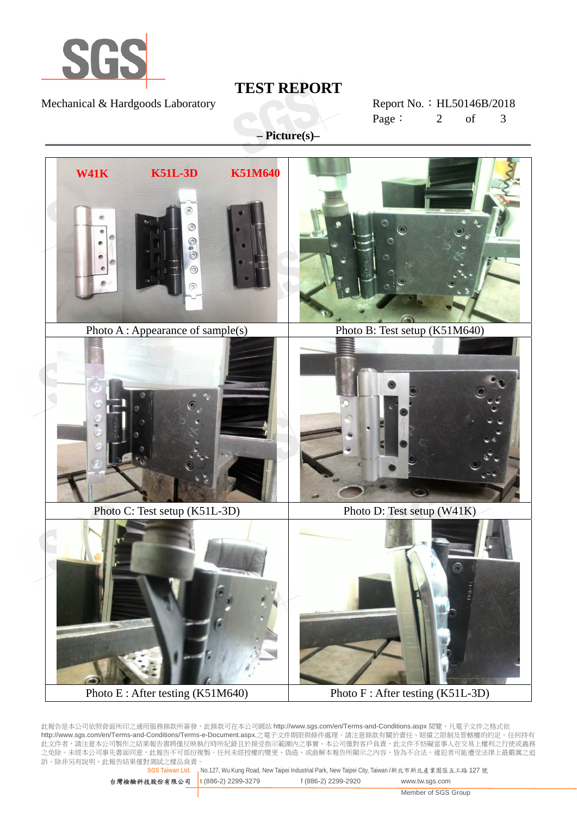

### Mechanical & Hardgoods Laboratory Report No.: HL50146B/2018

# **TEST REPORT**

Page: 2 of 3

**– Picture(s)–** 



此報告是本公司依照背面所印之通用服務條款所簽發,此條款可在本公司網站 http://www.sgs.com/en/Terms-and-Conditions.aspx 閱覽,凡電子文件之格式依 http://www.sgs.com/en/Terms-and-Conditions/Terms-e-Document.aspx.之電子文件期限與條件處理。請注意條款有關於責任、賠償之限制及管轄權的約定。任何持有 此文件者,請注意本公司製作之結果報告書將僅反映執行時所紀錄且於接受指示範圍內之事實。本公司僅對客戶負責,此文件不妨礙當事人在交易上權利之行使或義務 之免除。未經本公司事先書面同意,此報告不可部份複製。任何未經授權的變更、偽造、或曲解本報告所顯示之內容,皆為不合法,違犯者可能遭受法律上最嚴厲之追 訴。除非另有說明,此報告結果僅對測試之樣品負責。

**SGS Taiwan Ltd.** No.127, Wu Kung Road, New Taipei Industrial Park, New Taipei City, Taiwan /新北市新北產業園區五工路 127 號

| 台灣檢驗科技股份有限公司   t (886-2) 2299-3279 | f (886-2) 2299-2920 | www.tw.sgs.com      |
|------------------------------------|---------------------|---------------------|
|                                    |                     | Member of SGS Group |